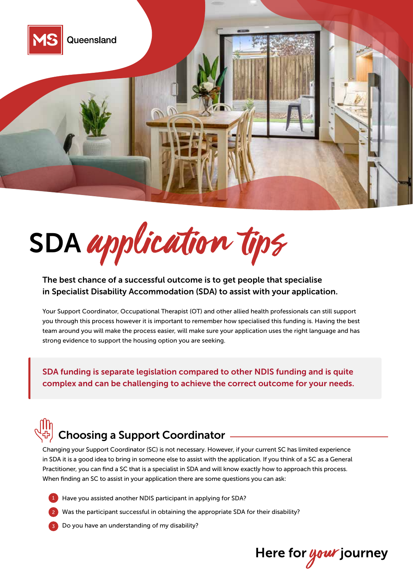

SDA application tips

#### The best chance of a successful outcome is to get people that specialise in Specialist Disability Accommodation (SDA) to assist with your application.

Your Support Coordinator, Occupational Therapist (OT) and other allied health professionals can still support you through this process however it is important to remember how specialised this funding is. Having the best team around you will make the process easier, will make sure your application uses the right language and has strong evidence to support the housing option you are seeking.

SDA funding is separate legislation compared to other NDIS funding and is quite complex and can be challenging to achieve the correct outcome for your needs.

## Choosing a Support Coordinator

Changing your Support Coordinator (SC) is not necessary. However, if your current SC has limited experience in SDA it is a good idea to bring in someone else to assist with the application. If you think of a SC as a General Practitioner, you can find a SC that is a specialist in SDA and will know exactly how to approach this process. When finding an SC to assist in your application there are some questions you can ask:

- Have you assisted another NDIS participant in applying for SDA? 1
- Was the participant successful in obtaining the appropriate SDA for their disability? 2
- Do you have an understanding of my disability? 3